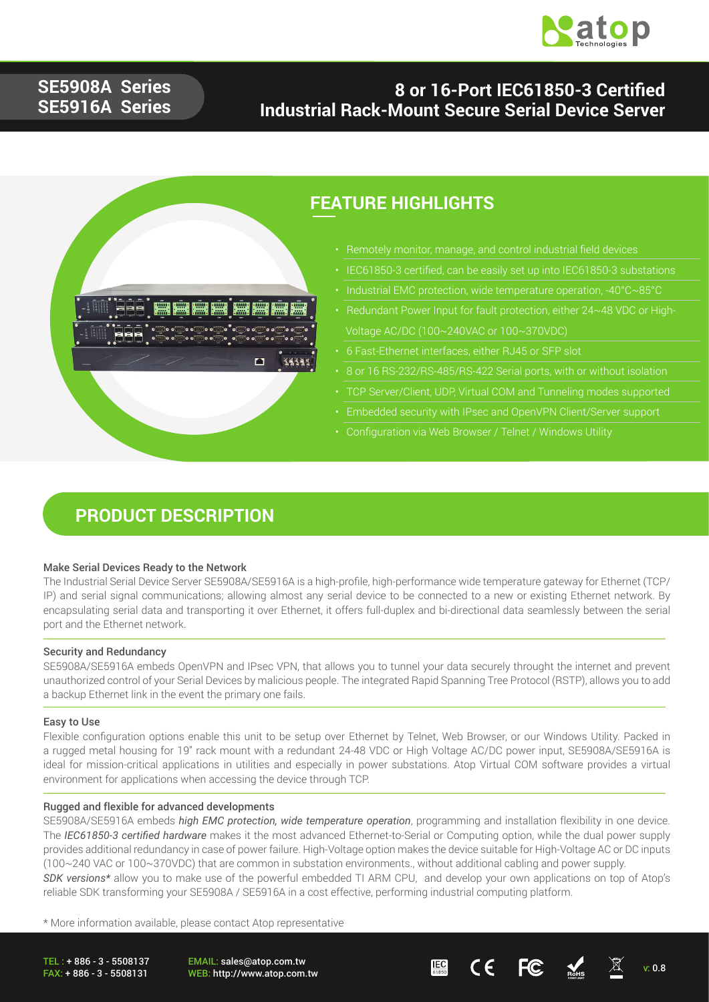

## **SE5908A Series SE5916A Series**

## **8 or 16-Port IEC61850-3 Certified Industrial Rack-Mount Secure Serial Device Server**



## **FEATURE HIGHLIGHTS**

- Remotely monitor, manage, and control industrial field devices
- IEC61850-3 certified, can be easily set up into IEC61850-3 substations
- 
- Redundant Power Input for fault protection, either 24~48 VDC or High- Voltage AC/DC (100~240VAC or 100~370VDC)
- 6 Fast-Ethernet interfaces, either RJ45 or SFP slot
- 8 or 16 RS-232/RS-485/RS-422 Serial ports, with or without isolation
- TCP Server/Client, UDP, Virtual COM and Tunneling modes supported
- Embedded security with IPsec and OpenVPN Client/Server support
- 

### **PRODUCT DESCRIPTION**

#### Make Serial Devices Ready to the Network

The Industrial Serial Device Server SE5908A/SE5916A is a high-profile, high-performance wide temperature gateway for Ethernet (TCP/ IP) and serial signal communications; allowing almost any serial device to be connected to a new or existing Ethernet network. By encapsulating serial data and transporting it over Ethernet, it offers full-duplex and bi-directional data seamlessly between the serial port and the Ethernet network.

#### Security and Redundancy

SE5908A/SE5916A embeds OpenVPN and IPsec VPN, that allows you to tunnel your data securely throught the internet and prevent unauthorized control of your Serial Devices by malicious people. The integrated Rapid Spanning Tree Protocol (RSTP), allows you to add a backup Ethernet link in the event the primary one fails.

#### Easy to Use

Flexible configuration options enable this unit to be setup over Ethernet by Telnet, Web Browser, or our Windows Utility. Packed in a rugged metal housing for 19" rack mount with a redundant 24-48 VDC or High Voltage AC/DC power input, SE5908A/SE5916A is ideal for mission-critical applications in utilities and especially in power substations. Atop Virtual COM software provides a virtual environment for applications when accessing the device through TCP.

#### Rugged and flexible for advanced developments

SE5908A/SE5916A embeds *high EMC protection, wide temperature operation*, programming and installation flexibility in one device. The *IEC61850-3 certified hardware* makes it the most advanced Ethernet-to-Serial or Computing option, while the dual power supply provides additional redundancy in case of power failure. High-Voltage option makes the device suitable for High-Voltage AC or DC inputs (100~240 VAC or 100~370VDC) that are common in substation environments., without additional cabling and power supply. *SDK versions\** allow you to make use of the powerful embedded TI ARM CPU, and develop your own applications on top of Atop's reliable SDK transforming your SE5908A / SE5916A in a cost effective, performing industrial computing platform.

\* More information available, please contact Atop representative

TEL : + 886 - 3 - 5508137 FAX: + 886 - 3 - 5508131

EMAIL: sales@atop.com.tw

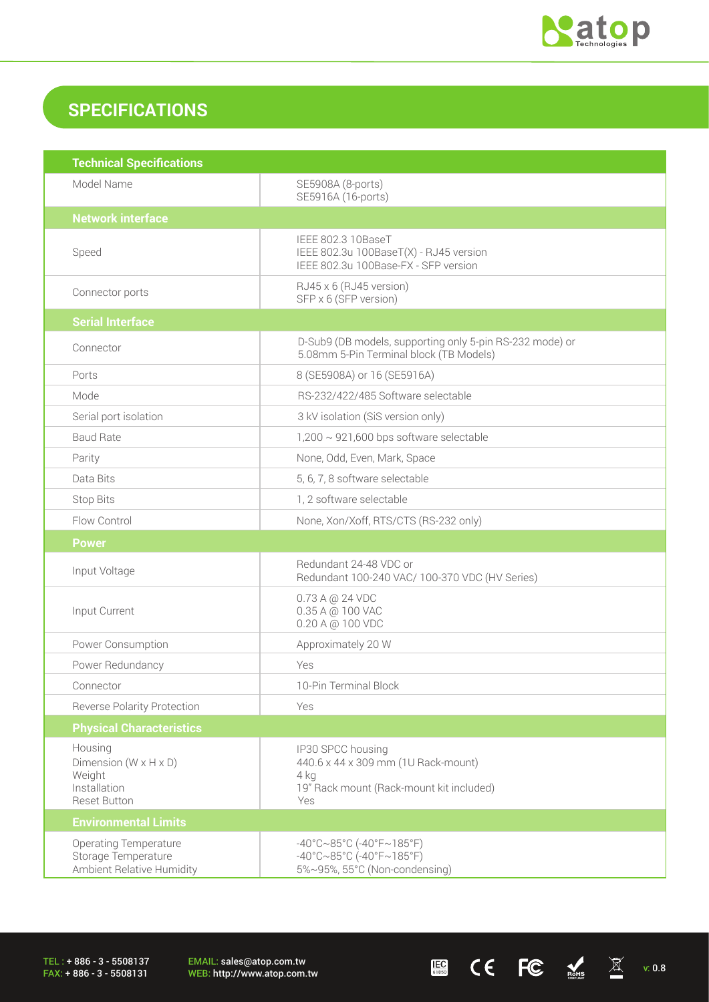

 $\begin{array}{ccccc} \mathbf{E} & \mathbf{C} & \mathbf{C} & \mathbf{C} & \mathbf{C} & \mathbb{R}^{H.S.} & \mathbb{R} & \mathbb{R}^{H.S.} \end{array}$ 

## **SPECIFICATIONS**

| <b>Technical Specifications</b>                                                                 |                                                                                                                                       |
|-------------------------------------------------------------------------------------------------|---------------------------------------------------------------------------------------------------------------------------------------|
| Model Name                                                                                      | SE5908A (8-ports)<br>SE5916A (16-ports)                                                                                               |
| <b>Network interface</b>                                                                        |                                                                                                                                       |
| Speed                                                                                           | IEEE 802.3 10BaseT<br>IEEE 802.3u 100BaseT(X) - RJ45 version<br>IEEE 802.3u 100Base-FX - SFP version                                  |
| Connector ports                                                                                 | RJ45 x 6 (RJ45 version)<br>SFP x 6 (SFP version)                                                                                      |
| <b>Serial Interface</b>                                                                         |                                                                                                                                       |
| Connector                                                                                       | D-Sub9 (DB models, supporting only 5-pin RS-232 mode) or<br>5.08mm 5-Pin Terminal block (TB Models)                                   |
| Ports                                                                                           | 8 (SE5908A) or 16 (SE5916A)                                                                                                           |
| Mode                                                                                            | RS-232/422/485 Software selectable                                                                                                    |
| Serial port isolation                                                                           | 3 kV isolation (SiS version only)                                                                                                     |
| <b>Baud Rate</b>                                                                                | $1,200 \sim 921,600$ bps software selectable                                                                                          |
| Parity                                                                                          | None, Odd, Even, Mark, Space                                                                                                          |
| Data Bits                                                                                       | 5, 6, 7, 8 software selectable                                                                                                        |
| <b>Stop Bits</b>                                                                                | 1, 2 software selectable                                                                                                              |
| Flow Control                                                                                    | None, Xon/Xoff, RTS/CTS (RS-232 only)                                                                                                 |
| <b>Power</b>                                                                                    |                                                                                                                                       |
| Input Voltage                                                                                   | Redundant 24-48 VDC or<br>Redundant 100-240 VAC/ 100-370 VDC (HV Series)                                                              |
| Input Current                                                                                   | 0.73 A @ 24 VDC<br>0.35 A @ 100 VAC<br>0.20 A @ 100 VDC                                                                               |
| Power Consumption                                                                               | Approximately 20 W                                                                                                                    |
| Power Redundancy                                                                                | Yes                                                                                                                                   |
| Connector                                                                                       | 10-Pin Terminal Block                                                                                                                 |
| <b>Reverse Polarity Protection</b>                                                              | Yes                                                                                                                                   |
| <b>Physical Characteristics</b>                                                                 |                                                                                                                                       |
| Housing<br>Dimension ( $W \times H \times D$ )<br>Weight<br>Installation<br><b>Reset Button</b> | IP30 SPCC housing<br>440.6 x 44 x 309 mm (1U Rack-mount)<br>4 kg<br>19" Rack mount (Rack-mount kit included)<br>Yes                   |
| <b>Environmental Limits</b>                                                                     |                                                                                                                                       |
| <b>Operating Temperature</b><br>Storage Temperature<br>Ambient Relative Humidity                | $-40^{\circ}$ C $\sim$ 85°C (-40°F $\sim$ 185°F)<br>$-40^{\circ}$ C $\sim$ 85°C (-40°F $\sim$ 185°F)<br>5%~95%, 55°C (Non-condensing) |

TEL : + 886 - 3 - 5508137 FAX: + 886 - 3 - 5508131

EMAIL: sales@atop.com.tw<br>WEB: http://www.atop.com.tw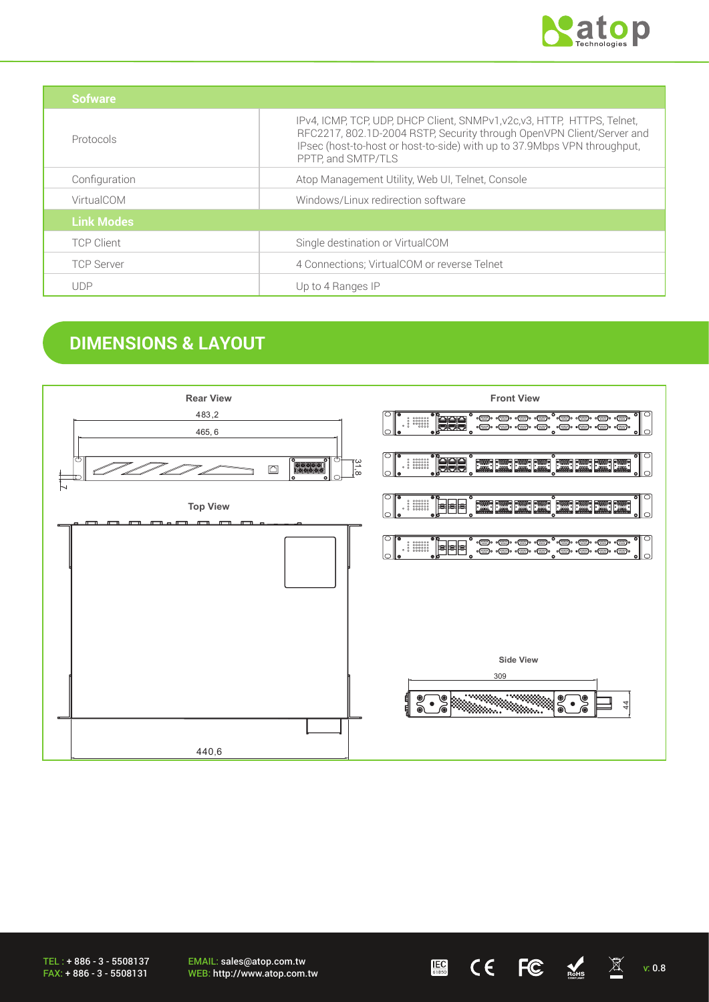

| Sofware           |                                                                                                                                                                                                                                                     |
|-------------------|-----------------------------------------------------------------------------------------------------------------------------------------------------------------------------------------------------------------------------------------------------|
| Protocols         | IPv4, ICMP, TCP, UDP, DHCP Client, SNMPv1, v2c, v3, HTTP, HTTPS, Telnet,<br>RFC2217, 802.1D-2004 RSTP, Security through OpenVPN Client/Server and<br>IPsec (host-to-host or host-to-side) with up to 37.9Mbps VPN throughput,<br>PPTP, and SMTP/TLS |
| Configuration     | Atop Management Utility, Web UI, Telnet, Console                                                                                                                                                                                                    |
| VirtualCOM        | Windows/Linux redirection software                                                                                                                                                                                                                  |
| <b>Link Modes</b> |                                                                                                                                                                                                                                                     |
| <b>TCP Client</b> | Single destination or VirtualCOM                                                                                                                                                                                                                    |
| <b>TCP Server</b> | 4 Connections; VirtualCOM or reverse Telnet                                                                                                                                                                                                         |
| <b>UDP</b>        | Up to 4 Ranges IP                                                                                                                                                                                                                                   |

## **DIMENSIONS & LAYOUT**



EMAIL: sales@atop.com.tw WEB: http://www.atop.com.tw v: 0.8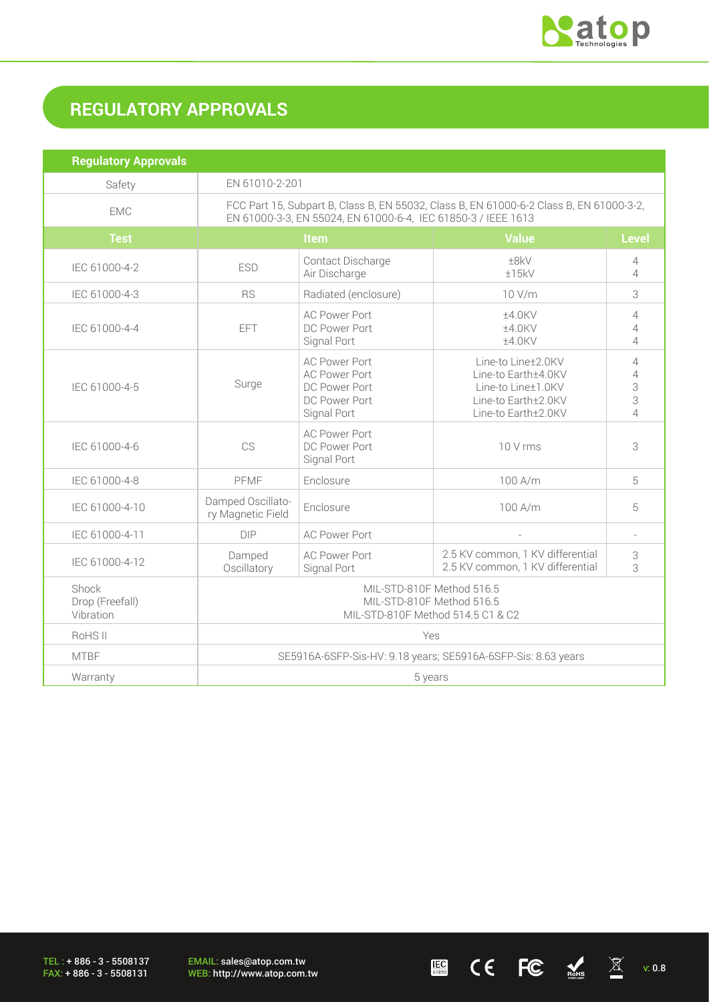

 $\underline{\mathbb{E}}$  (  $\overline{\mathbb{E}}$   $\overline{\mathbb{E}}$   $\overline{\mathbb{E}}$   $\overline{\mathbb{E}}$   $\overline{\mathbb{E}}$   $\mathbb{E}$   $\overline{\mathbb{E}}$   $\mathbb{E}$   $\overline{\mathbb{E}}$   $\mathbb{E}$   $\mathbb{E}$   $\mathbb{E}$   $\overline{\mathbb{E}}$   $\mathbb{E}$   $\mathbb{E}$   $\overline{\mathbb{E}}$   $\mathbb{E}$   $\mathbb{E}$   $\overline{\mathbb{E}}$   $\overline{\math$ 

# **REGULATORY APPROVALS**

| <b>Regulatory Approvals</b>           |                                                                                                                                                          |                                                                                               |                                                                                                               |                                                 |
|---------------------------------------|----------------------------------------------------------------------------------------------------------------------------------------------------------|-----------------------------------------------------------------------------------------------|---------------------------------------------------------------------------------------------------------------|-------------------------------------------------|
| Safety                                | EN 61010-2-201                                                                                                                                           |                                                                                               |                                                                                                               |                                                 |
| <b>EMC</b>                            | FCC Part 15, Subpart B, Class B, EN 55032, Class B, EN 61000-6-2 Class B, EN 61000-3-2,<br>EN 61000-3-3, EN 55024, EN 61000-6-4, IEC 61850-3 / IEEE 1613 |                                                                                               |                                                                                                               |                                                 |
| <b>Test</b>                           | <b>Value</b><br><b>Level</b><br><b>Item</b>                                                                                                              |                                                                                               |                                                                                                               |                                                 |
| IEC 61000-4-2                         | <b>ESD</b>                                                                                                                                               | Contact Discharge<br>Air Discharge                                                            | ±8kV<br>±15kV                                                                                                 | 4<br>$\overline{\mathcal{A}}$                   |
| IEC 61000-4-3                         | <b>RS</b>                                                                                                                                                | Radiated (enclosure)                                                                          | 10 V/m                                                                                                        | 3                                               |
| IEC 61000-4-4                         | EFT                                                                                                                                                      | <b>AC Power Port</b><br>DC Power Port<br>Signal Port                                          | ±4.0KV<br>±4.0KV<br>±4.0KV                                                                                    | 4<br>4<br>$\overline{4}$                        |
| IEC 61000-4-5                         | Surge                                                                                                                                                    | <b>AC Power Port</b><br><b>AC Power Port</b><br>DC Power Port<br>DC Power Port<br>Signal Port | Line-to Line±2.0KV<br>Line-to Earth±4.0KV<br>Line-to Line±1.0KV<br>Line-to Earth±2.0KV<br>Line-to Earth±2.0KV | 4<br>$\overline{4}$<br>3<br>3<br>$\overline{4}$ |
| IEC 61000-4-6                         | CS                                                                                                                                                       | <b>AC Power Port</b><br>DC Power Port<br>Signal Port                                          | 10 V rms                                                                                                      | 3                                               |
| IEC 61000-4-8                         | PFMF                                                                                                                                                     | Enclosure                                                                                     | 100 A/m                                                                                                       | 5                                               |
| IEC 61000-4-10                        | Damped Oscillato-<br>ry Magnetic Field                                                                                                                   | Enclosure                                                                                     | 100 A/m                                                                                                       | 5                                               |
| IEC 61000-4-11                        | <b>DIP</b>                                                                                                                                               | <b>AC Power Port</b>                                                                          | L.                                                                                                            | $\overline{a}$                                  |
| IEC 61000-4-12                        | Damped<br>Oscillatory                                                                                                                                    | <b>AC Power Port</b><br>Signal Port                                                           | 2.5 KV common, 1 KV differential<br>2.5 KV common, 1 KV differential                                          | 3<br>3                                          |
| Shock<br>Drop (Freefall)<br>Vibration | MIL-STD-810F Method 516.5<br>MIL-STD-810F Method 516.5<br>MIL-STD-810F Method 514.5 C1 & C2                                                              |                                                                                               |                                                                                                               |                                                 |
| RoHS II                               | Yes                                                                                                                                                      |                                                                                               |                                                                                                               |                                                 |
| <b>MTBF</b>                           | SE5916A-6SFP-Sis-HV: 9.18 years; SE5916A-6SFP-Sis: 8.63 years                                                                                            |                                                                                               |                                                                                                               |                                                 |
| Warranty                              | 5 years                                                                                                                                                  |                                                                                               |                                                                                                               |                                                 |